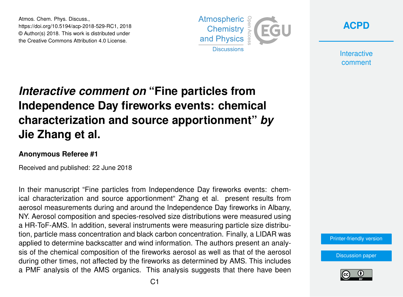Atmos. Chem. Phys. Discuss., https://doi.org/10.5194/acp-2018-529-RC1, 2018 © Author(s) 2018. This work is distributed under the Creative Commons Attribution 4.0 License.





**Interactive** comment

# *Interactive comment on* **"Fine particles from Independence Day fireworks events: chemical characterization and source apportionment"** *by* **Jie Zhang et al.**

#### **Anonymous Referee #1**

Received and published: 22 June 2018

In their manuscript "Fine particles from Independence Day fireworks events: chemical characterization and source apportionment" Zhang et al. present results from aerosol measurements during and around the Independence Day fireworks in Albany, NY. Aerosol composition and species-resolved size distributions were measured using a HR-ToF-AMS. In addition, several instruments were measuring particle size distribution, particle mass concentration and black carbon concentration. Finally, a LIDAR was applied to determine backscatter and wind information. The authors present an analysis of the chemical composition of the fireworks aerosol as well as that of the aerosol during other times, not affected by the fireworks as determined by AMS. This includes a PMF analysis of the AMS organics. This analysis suggests that there have been

[Printer-friendly version](https://www.atmos-chem-phys-discuss.net/acp-2018-529/acp-2018-529-RC1-print.pdf)

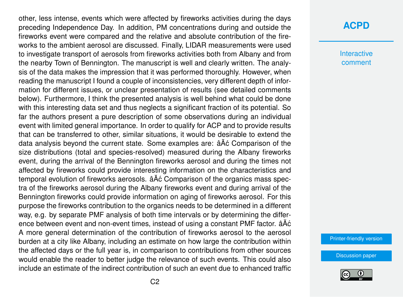other, less intense, events which were affected by fireworks activities during the days preceding Independence Day. In addition, PM concentrations during and outside the fireworks event were compared and the relative and absolute contribution of the fireworks to the ambient aerosol are discussed. Finally, LIDAR measurements were used to investigate transport of aerosols from fireworks activities both from Albany and from the nearby Town of Bennington. The manuscript is well and clearly written. The analysis of the data makes the impression that it was performed thoroughly. However, when reading the manuscript I found a couple of inconsistencies, very different depth of information for different issues, or unclear presentation of results (see detailed comments below). Furthermore, I think the presented analysis is well behind what could be done with this interesting data set and thus neglects a significant fraction of its potential. So far the authors present a pure description of some observations during an individual event with limited general importance. In order to qualify for ACP and to provide results that can be transferred to other, similar situations, it would be desirable to extend the data analysis beyond the current state. Some examples are:  $\hat{a} \hat{A} \hat{c}$  Comparison of the size distributions (total and species-resolved) measured during the Albany fireworks event, during the arrival of the Bennington fireworks aerosol and during the times not affected by fireworks could provide interesting information on the characteristics and temporal evolution of fireworks aerosols.  $\hat{A} \hat{A} \hat{C}$  Comparison of the organics mass spectra of the fireworks aerosol during the Albany fireworks event and during arrival of the Bennington fireworks could provide information on aging of fireworks aerosol. For this purpose the fireworks contribution to the organics needs to be determined in a different way, e.g. by separate PMF analysis of both time intervals or by determining the difference between event and non-event times, instead of using a constant PMF factor. âAc A more general determination of the contribution of fireworks aerosol to the aerosol burden at a city like Albany, including an estimate on how large the contribution within the affected days or the full year is, in comparison to contributions from other sources would enable the reader to better judge the relevance of such events. This could also include an estimate of the indirect contribution of such an event due to enhanced traffic

### **[ACPD](https://www.atmos-chem-phys-discuss.net/)**

**Interactive** comment

[Printer-friendly version](https://www.atmos-chem-phys-discuss.net/acp-2018-529/acp-2018-529-RC1-print.pdf)

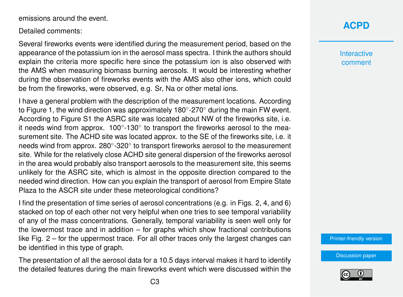emissions around the event.

Detailed comments:

Several fireworks events were identified during the measurement period, based on the appearance of the potassium ion in the aerosol mass spectra. I think the authors should explain the criteria more specific here since the potassium ion is also observed with the AMS when measuring biomass burning aerosols. It would be interesting whether during the observation of fireworks events with the AMS also other ions, which could be from the fireworks, were observed, e.g. Sr, Na or other metal ions.

I have a general problem with the description of the measurement locations. According to Figure 1, the wind direction was approximately 180°-270° during the main FW event. According to Figure S1 the ASRC site was located about NW of the fireworks site, i.e. it needs wind from approx.  $100^{\circ}$ -130 $^{\circ}$  to transport the fireworks aerosol to the measurement site. The ACHD site was located approx. to the SE of the fireworks site, i.e. it needs wind from approx. 280 $^{\circ}$ -320 $^{\circ}$  to transport fireworks aerosol to the measurement site. While for the relatively close ACHD site general dispersion of the fireworks aerosol in the area would probably also transport aerosols to the measurement site, this seems unlikely for the ASRC site, which is almost in the opposite direction compared to the needed wind direction. How can you explain the transport of aerosol from Empire State Plaza to the ASCR site under these meteorological conditions?

I find the presentation of time series of aerosol concentrations (e.g. in Figs. 2, 4, and 6) stacked on top of each other not very helpful when one tries to see temporal variability of any of the mass concentrations. Generally, temporal variability is seen well only for the lowermost trace and in addition – for graphs which show fractional contributions like Fig. 2 – for the uppermost trace. For all other traces only the largest changes can be identified in this type of graph.

The presentation of all the aerosol data for a 10.5 days interval makes it hard to identify the detailed features during the main fireworks event which were discussed within the **Interactive** comment

[Printer-friendly version](https://www.atmos-chem-phys-discuss.net/acp-2018-529/acp-2018-529-RC1-print.pdf)

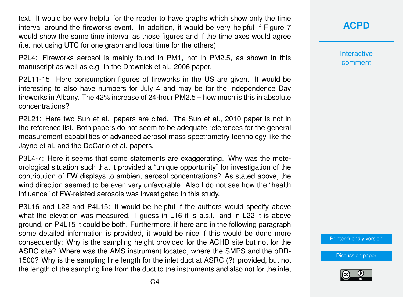text. It would be very helpful for the reader to have graphs which show only the time interval around the fireworks event. In addition, it would be very helpful if Figure 7 would show the same time interval as those figures and if the time axes would agree (i.e. not using UTC for one graph and local time for the others).

P2L4: Fireworks aerosol is mainly found in PM1, not in PM2.5, as shown in this manuscript as well as e.g. in the Drewnick et al., 2006 paper.

P2L11-15: Here consumption figures of fireworks in the US are given. It would be interesting to also have numbers for July 4 and may be for the Independence Day fireworks in Albany. The 42% increase of 24-hour PM2.5 – how much is this in absolute concentrations?

P2L21: Here two Sun et al. papers are cited. The Sun et al., 2010 paper is not in the reference list. Both papers do not seem to be adequate references for the general measurement capabilities of advanced aerosol mass spectrometry technology like the Jayne et al. and the DeCarlo et al. papers.

P3L4-7: Here it seems that some statements are exaggerating. Why was the meteorological situation such that it provided a "unique opportunity" for investigation of the contribution of FW displays to ambient aerosol concentrations? As stated above, the wind direction seemed to be even very unfavorable. Also I do not see how the "health influence" of FW-related aerosols was investigated in this study.

P3L16 and L22 and P4L15: It would be helpful if the authors would specify above what the elevation was measured. I guess in L16 it is a.s.l. and in L22 it is above ground, on P4L15 it could be both. Furthermore, if here and in the following paragraph some detailed information is provided, it would be nice if this would be done more consequently: Why is the sampling height provided for the ACHD site but not for the ASRC site? Where was the AMS instrument located, where the SMPS and the pDR-1500? Why is the sampling line length for the inlet duct at ASRC (?) provided, but not the length of the sampling line from the duct to the instruments and also not for the inlet **Interactive** comment

[Printer-friendly version](https://www.atmos-chem-phys-discuss.net/acp-2018-529/acp-2018-529-RC1-print.pdf)

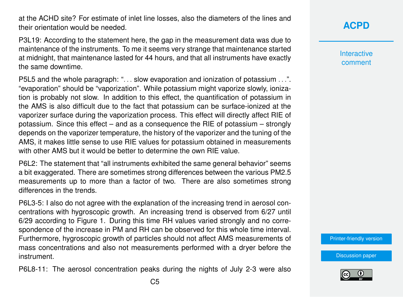at the ACHD site? For estimate of inlet line losses, also the diameters of the lines and their orientation would be needed.

P3L19: According to the statement here, the gap in the measurement data was due to maintenance of the instruments. To me it seems very strange that maintenance started at midnight, that maintenance lasted for 44 hours, and that all instruments have exactly the same downtime.

P5L5 and the whole paragraph: "... slow evaporation and ionization of potassium ...". "evaporation" should be "vaporization". While potassium might vaporize slowly, ionization is probably not slow. In addition to this effect, the quantification of potassium in the AMS is also difficult due to the fact that potassium can be surface-ionized at the vaporizer surface during the vaporization process. This effect will directly affect RIE of potassium. Since this effect – and as a consequence the RIE of potassium – strongly depends on the vaporizer temperature, the history of the vaporizer and the tuning of the AMS, it makes little sense to use RIE values for potassium obtained in measurements with other AMS but it would be better to determine the own RIF value.

P6L2: The statement that "all instruments exhibited the same general behavior" seems a bit exaggerated. There are sometimes strong differences between the various PM2.5 measurements up to more than a factor of two. There are also sometimes strong differences in the trends.

P6L3-5: I also do not agree with the explanation of the increasing trend in aerosol concentrations with hygroscopic growth. An increasing trend is observed from 6/27 until 6/29 according to Figure 1. During this time RH values varied strongly and no correspondence of the increase in PM and RH can be observed for this whole time interval. Furthermore, hygroscopic growth of particles should not affect AMS measurements of mass concentrations and also not measurements performed with a dryer before the instrument.

P6L8-11: The aerosol concentration peaks during the nights of July 2-3 were also

**Interactive** comment

[Printer-friendly version](https://www.atmos-chem-phys-discuss.net/acp-2018-529/acp-2018-529-RC1-print.pdf)

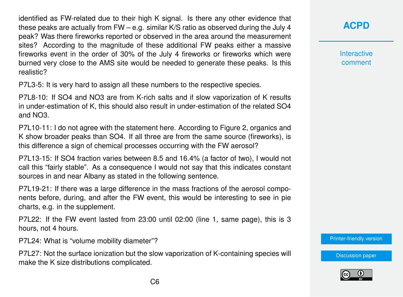identified as FW-related due to their high K signal. Is there any other evidence that these peaks are actually from  $FW - e.a$ . similar K/S ratio as observed during the July 4 peak? Was there fireworks reported or observed in the area around the measurement sites? According to the magnitude of these additional FW peaks either a massive fireworks event in the order of 30% of the July 4 fireworks or fireworks which were burned very close to the AMS site would be needed to generate these peaks. Is this realistic?

P7L3-5: It is very hard to assign all these numbers to the respective species.

P7L8-10: If SO4 and NO3 are from K-rich salts and if slow vaporization of K results in under-estimation of K, this should also result in under-estimation of the related SO4 and NO3.

P7L10-11: I do not agree with the statement here. According to Figure 2, organics and K show broader peaks than SO4. If all three are from the same source (fireworks), is this difference a sign of chemical processes occurring with the FW aerosol?

P7L13-15: If SO4 fraction varies between 8.5 and 16.4% (a factor of two), I would not call this "fairly stable". As a consequence I would not say that this indicates constant sources in and near Albany as stated in the following sentence.

P7L19-21: If there was a large difference in the mass fractions of the aerosol components before, during, and after the FW event, this would be interesting to see in pie charts, e.g. in the supplement.

P7L22: If the FW event lasted from 23:00 until 02:00 (line 1, same page), this is 3 hours, not 4 hours.

P7L24: What is "volume mobility diameter"?

P7L27: Not the surface ionization but the slow vaporization of K-containing species will make the K size distributions complicated.

**[ACPD](https://www.atmos-chem-phys-discuss.net/)**

**Interactive** comment

[Printer-friendly version](https://www.atmos-chem-phys-discuss.net/acp-2018-529/acp-2018-529-RC1-print.pdf)

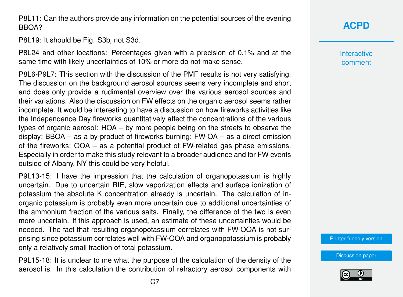P8L11: Can the authors provide any information on the potential sources of the evening BBOA?

P8L19: It should be Fig. S3b, not S3d.

P8L24 and other locations: Percentages given with a precision of 0.1% and at the same time with likely uncertainties of 10% or more do not make sense.

P8L6-P9L7: This section with the discussion of the PMF results is not very satisfying. The discussion on the background aerosol sources seems very incomplete and short and does only provide a rudimental overview over the various aerosol sources and their variations. Also the discussion on FW effects on the organic aerosol seems rather incomplete. It would be interesting to have a discussion on how fireworks activities like the Independence Day fireworks quantitatively affect the concentrations of the various types of organic aerosol: HOA – by more people being on the streets to observe the display; BBOA – as a by-product of fireworks burning; FW-OA – as a direct emission of the fireworks; OOA – as a potential product of FW-related gas phase emissions. Especially in order to make this study relevant to a broader audience and for FW events outside of Albany, NY this could be very helpful.

P9L13-15: I have the impression that the calculation of organopotassium is highly uncertain. Due to uncertain RIE, slow vaporization effects and surface ionization of potassium the absolute K concentration already is uncertain. The calculation of inorganic potassium is probably even more uncertain due to additional uncertainties of the ammonium fraction of the various salts. Finally, the difference of the two is even more uncertain. If this approach is used, an estimate of these uncertainties would be needed. The fact that resulting organopotassium correlates with FW-OOA is not surprising since potassium correlates well with FW-OOA and organopotassium is probably only a relatively small fraction of total potassium.

P9L15-18: It is unclear to me what the purpose of the calculation of the density of the aerosol is. In this calculation the contribution of refractory aerosol components with **Interactive** comment

[Printer-friendly version](https://www.atmos-chem-phys-discuss.net/acp-2018-529/acp-2018-529-RC1-print.pdf)

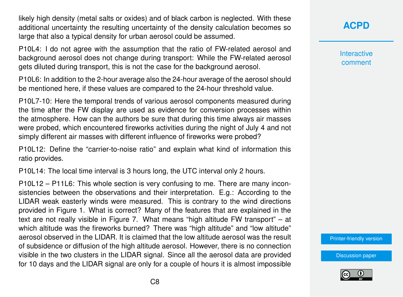likely high density (metal salts or oxides) and of black carbon is neglected. With these additional uncertainty the resulting uncertainty of the density calculation becomes so large that also a typical density for urban aerosol could be assumed.

P10L4: I do not agree with the assumption that the ratio of FW-related aerosol and background aerosol does not change during transport: While the FW-related aerosol gets diluted during transport, this is not the case for the background aerosol.

P10L6: In addition to the 2-hour average also the 24-hour average of the aerosol should be mentioned here, if these values are compared to the 24-hour threshold value.

P10L7-10: Here the temporal trends of various aerosol components measured during the time after the FW display are used as evidence for conversion processes within the atmosphere. How can the authors be sure that during this time always air masses were probed, which encountered fireworks activities during the night of July 4 and not simply different air masses with different influence of fireworks were probed?

P10L12: Define the "carrier-to-noise ratio" and explain what kind of information this ratio provides.

P10L14: The local time interval is 3 hours long, the UTC interval only 2 hours.

P10L12 – P11L6: This whole section is very confusing to me. There are many inconsistencies between the observations and their interpretation. E.g.: According to the LIDAR weak easterly winds were measured. This is contrary to the wind directions provided in Figure 1. What is correct? Many of the features that are explained in the text are not really visible in Figure 7. What means "high altitude FW transport" – at which altitude was the fireworks burned? There was "high altitude" and "low altitude" aerosol observed in the LIDAR. It is claimed that the low altitude aerosol was the result of subsidence or diffusion of the high altitude aerosol. However, there is no connection visible in the two clusters in the LIDAR signal. Since all the aerosol data are provided for 10 days and the LIDAR signal are only for a couple of hours it is almost impossible **[ACPD](https://www.atmos-chem-phys-discuss.net/)**

**Interactive** comment

[Printer-friendly version](https://www.atmos-chem-phys-discuss.net/acp-2018-529/acp-2018-529-RC1-print.pdf)

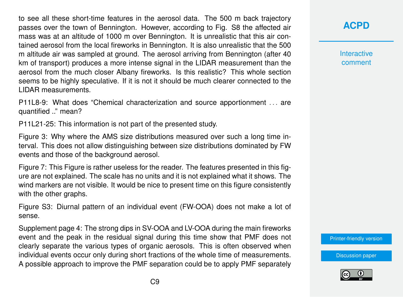to see all these short-time features in the aerosol data. The 500 m back trajectory passes over the town of Bennington. However, according to Fig. S8 the affected air mass was at an altitude of 1000 m over Bennington. It is unrealistic that this air contained aerosol from the local fireworks in Bennington. It is also unrealistic that the 500 m altitude air was sampled at ground. The aerosol arriving from Bennington (after 40 km of transport) produces a more intense signal in the LIDAR measurement than the aerosol from the much closer Albany fireworks. Is this realistic? This whole section seems to be highly speculative. If it is not it should be much clearer connected to the LIDAR measurements.

P11L8-9: What does "Chemical characterization and source apportionment . . . are quantified .." mean?

P11L21-25: This information is not part of the presented study.

Figure 3: Why where the AMS size distributions measured over such a long time interval. This does not allow distinguishing between size distributions dominated by FW events and those of the background aerosol.

Figure 7: This Figure is rather useless for the reader. The features presented in this figure are not explained. The scale has no units and it is not explained what it shows. The wind markers are not visible. It would be nice to present time on this figure consistently with the other graphs.

Figure S3: Diurnal pattern of an individual event (FW-OOA) does not make a lot of sense.

Supplement page 4: The strong dips in SV-OOA and LV-OOA during the main fireworks event and the peak in the residual signal during this time show that PMF does not clearly separate the various types of organic aerosols. This is often observed when individual events occur only during short fractions of the whole time of measurements. A possible approach to improve the PMF separation could be to apply PMF separately

## **[ACPD](https://www.atmos-chem-phys-discuss.net/)**

**Interactive** comment

[Printer-friendly version](https://www.atmos-chem-phys-discuss.net/acp-2018-529/acp-2018-529-RC1-print.pdf)